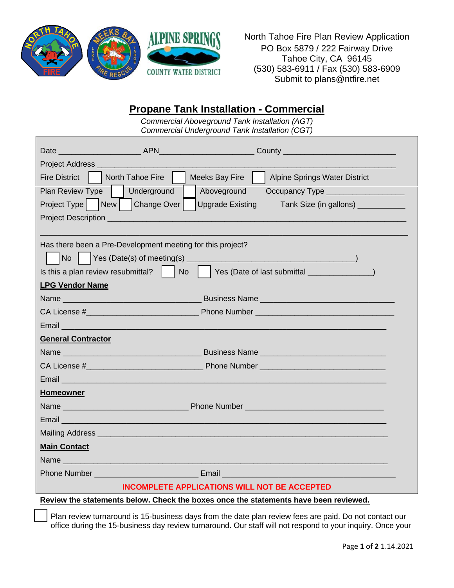

North Tahoe Fire Plan Review Application PO Box 5879 / 222 Fairway Drive Tahoe City, CA 96145 (530) 583-6911 / Fax (530) 583-6909 Submit to plans@ntfire.net

## **Propane Tank Installation - Commercial**

*Commercial Aboveground Tank Installation (AGT) Commercial Underground Tank Installation (CGT)*

|                                                                                                                                                                                                                                    |  | Fire District   North Tahoe Fire     Meeks Bay Fire     Alpine Springs Water District                                   |  |  |
|------------------------------------------------------------------------------------------------------------------------------------------------------------------------------------------------------------------------------------|--|-------------------------------------------------------------------------------------------------------------------------|--|--|
| Plan Review Type     Underground                                                                                                                                                                                                   |  | Aboveground                                                                                                             |  |  |
| Project Type   New   Change Over  <br><b>Upgrade Existing</b><br>Tank Size (in gallons) ____________                                                                                                                               |  |                                                                                                                         |  |  |
|                                                                                                                                                                                                                                    |  |                                                                                                                         |  |  |
|                                                                                                                                                                                                                                    |  |                                                                                                                         |  |  |
| Has there been a Pre-Development meeting for this project?                                                                                                                                                                         |  |                                                                                                                         |  |  |
| No                                                                                                                                                                                                                                 |  |                                                                                                                         |  |  |
|                                                                                                                                                                                                                                    |  |                                                                                                                         |  |  |
| <b>LPG Vendor Name</b>                                                                                                                                                                                                             |  |                                                                                                                         |  |  |
|                                                                                                                                                                                                                                    |  | Business Name                                                                                                           |  |  |
|                                                                                                                                                                                                                                    |  |                                                                                                                         |  |  |
| Email and the contract of the contract of the contract of the contract of the contract of the contract of                                                                                                                          |  |                                                                                                                         |  |  |
| <b>General Contractor</b>                                                                                                                                                                                                          |  |                                                                                                                         |  |  |
|                                                                                                                                                                                                                                    |  |                                                                                                                         |  |  |
|                                                                                                                                                                                                                                    |  |                                                                                                                         |  |  |
| Email <b>Email Email and Email and Email and Email and Email and Email and Email and Email and Email and Email and Email and Email and Email and Email and Email and Email and Email and Email and Email and Email and Email a</b> |  |                                                                                                                         |  |  |
| <b>Homeowner</b>                                                                                                                                                                                                                   |  |                                                                                                                         |  |  |
|                                                                                                                                                                                                                                    |  |                                                                                                                         |  |  |
|                                                                                                                                                                                                                                    |  |                                                                                                                         |  |  |
|                                                                                                                                                                                                                                    |  |                                                                                                                         |  |  |
| <b>Main Contact</b>                                                                                                                                                                                                                |  |                                                                                                                         |  |  |
|                                                                                                                                                                                                                                    |  |                                                                                                                         |  |  |
|                                                                                                                                                                                                                                    |  | <b>Phone Number Community Community Community Community Community Community Community Community Community Community</b> |  |  |
| <b>INCOMPLETE APPLICATIONS WILL NOT BE ACCEPTED</b>                                                                                                                                                                                |  |                                                                                                                         |  |  |
| Review the statements below. Check the boxes once the statements have been reviewed.                                                                                                                                               |  |                                                                                                                         |  |  |

Plan review turnaround is 15-business days from the date plan review fees are paid. Do not contact our office during the 15-business day review turnaround. Our staff will not respond to your inquiry. Once your